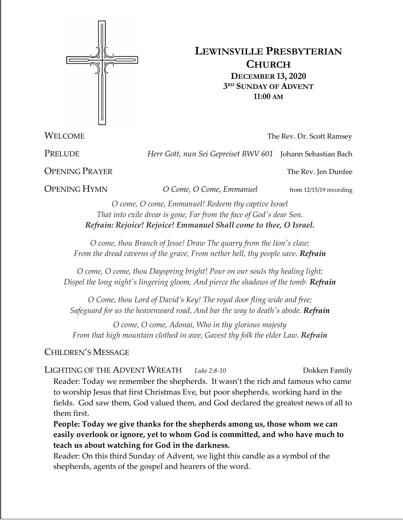

# **LEWINSVILLE PRESBYTERIAN CHURCH DECEMBER 13, 2020 3RD SUNDAY OF ADVENT 11:00 AM**

**WELCOME** The Rev. Dr. Scott Ramsey

PRELUDE *Herr Gott, nun Sei Gepreiset BWV 601* Johann Sebastian Bach

**OPENING PRAYER** The Rev. Jen Dunfee

**OPENING HYMN** *O Come, O Come, Emmanuel* from 12/15/19 recording

*O come, O come, Emmanuel! Redeem thy captive Israel That into exile drear is gone, Far from the face of God's dear Son. Refrain: Rejoice! Rejoice! Emmanuel Shall come to thee, O Israel.*

*O come, thou Branch of Jesse! Draw The quarry from the lion's claw; From the dread caverns of the grave, From nether hell, thy people save. Refrain*

*O come, O come, thou Dayspring bright! Pour on our souls thy healing light; Dispel the long night's lingering gloom, And pierce the shadows of the tomb. Refrain*

*O Come, thou Lord of David's Key! The royal door fling wide and free; Safeguard for us the heavenward road, And bar the way to death's abode. Refrain*

*O come, O come, Adonai, Who in thy glorious majesty From that high mountain clothed in awe, Gavest thy folk the elder Law. Refrain*

## CHILDREN'S MESSAGE

LIGHTING OF THE ADVENT WREATH *Luke* 2:8-10 Dokken Family Reader: Today we remember the shepherds. It wasn't the rich and famous who came to worship Jesus that first Christmas Eve, but poor shepherds, working hard in the fields. God saw them, God valued them, and God declared the greatest news of all to them first.

**People: Today we give thanks for the shepherds among us, those whom we can easily overlook or ignore, yet to whom God is committed, and who have much to teach us about watching for God in the darkness.**

Reader: On this third Sunday of Advent, we light this candle as a symbol of the shepherds, agents of the gospel and hearers of the word.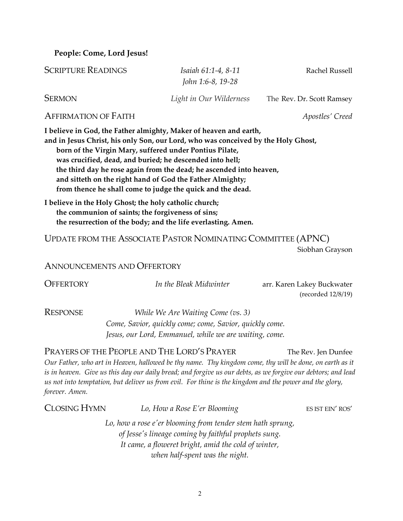**People: Come, Lord Jesus!**

| <b>SCRIPTURE READINGS</b> | Isaiah 61:1-4, 8-11     | Rachel Russell            |
|---------------------------|-------------------------|---------------------------|
|                           | John 1:6-8, 19-28       |                           |
| <b>SERMON</b>             | Light in Our Wilderness | The Rev. Dr. Scott Ramsey |

AFFIRMATION OF FAITH *Apostles' Creed*

**I believe in God, the Father almighty, Maker of heaven and earth,**

**and in Jesus Christ, his only Son, our Lord, who was conceived by the Holy Ghost, born of the Virgin Mary, suffered under Pontius Pilate, was crucified, dead, and buried; he descended into hell; the third day he rose again from the dead; he ascended into heaven, and sitteth on the right hand of God the Father Almighty; from thence he shall come to judge the quick and the dead.**

**I believe in the Holy Ghost; the holy catholic church; the communion of saints; the forgiveness of sins; the resurrection of the body; and the life everlasting. Amen.**

UPDATE FROM THE ASSOCIATE PASTOR NOMINATING COMMITTEE (APNC) Siobhan Grayson

ANNOUNCEMENTS AND OFFERTORY

| <b>OFFERTORY</b> | In the Bleak Midwinter                                  | arr. Karen Lakey Buckwater |
|------------------|---------------------------------------------------------|----------------------------|
|                  |                                                         | (recorded 12/8/19)         |
| RESPONSE         | While We Are Waiting Come (vs. 3)                       |                            |
|                  | Come, Savior, quickly come; come, Savior, quickly come. |                            |

*Jesus, our Lord, Emmanuel, while we are waiting, come.*

PRAYERS OF THE PEOPLE AND THE LORD'S PRAYER The Rev. Jen Dunfee

*Our Father, who art in Heaven, hallowed be thy name. Thy kingdom come, thy will be done, on earth as it is in heaven. Give us this day our daily bread; and forgive us our debts, as we forgive our debtors; and lead us not into temptation, but deliver us from evil. For thine is the kingdom and the power and the glory, forever. Amen.* 

| CLOSING HYMN                                                                                                       | Lo, How a Rose E'er Blooming   | ES IST EIN' ROS' |
|--------------------------------------------------------------------------------------------------------------------|--------------------------------|------------------|
| Lo, how a rose e'er blooming from tender stem hath sprung,<br>of Jesse's lineage coming by faithful prophets sung. |                                |                  |
| It came, a floweret bright, amid the cold of winter,                                                               |                                |                  |
|                                                                                                                    | when half-spent was the night. |                  |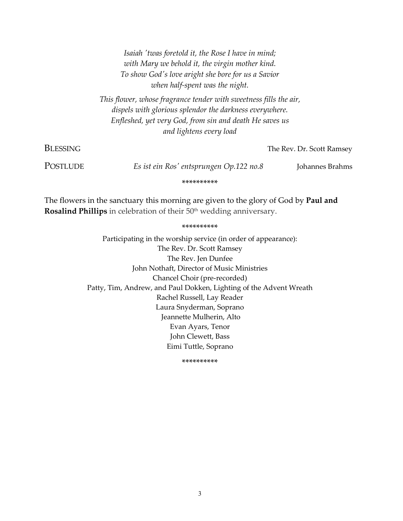*Isaiah 'twas foretold it, the Rose I have in mind; with Mary we behold it, the virgin mother kind. To show God's love aright she bore for us a Savior when half-spent was the night. This flower, whose fragrance tender with sweetness fills the air, dispels with glorious splendor the darkness everywhere. Enfleshed, yet very God, from sin and death He saves us and lightens every load* **BLESSING** The Rev. Dr. Scott Ramsey POSTLUDE *Es ist ein Ros' entsprungen Op.122 no.8* Johannes Brahms \*\*\*\*\*\*\*\*\*\*

The flowers in the sanctuary this morning are given to the glory of God by **Paul and Rosalind Phillips** in celebration of their 50<sup>th</sup> wedding anniversary.

#### \*\*\*\*\*\*\*\*\*\*

Participating in the worship service (in order of appearance): The Rev. Dr. Scott Ramsey The Rev. Jen Dunfee John Nothaft, Director of Music Ministries Chancel Choir (pre-recorded) Patty, Tim, Andrew, and Paul Dokken, Lighting of the Advent Wreath Rachel Russell, Lay Reader Laura Snyderman, Soprano Jeannette Mulherin, Alto Evan Ayars, Tenor John Clewett, Bass Eimi Tuttle, Soprano

\*\*\*\*\*\*\*\*\*\*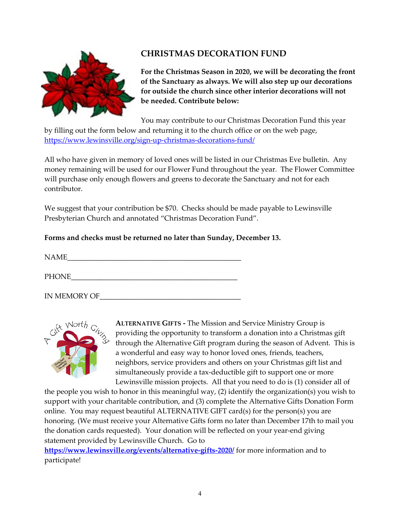

## **CHRISTMAS DECORATION FUND**

**For the Christmas Season in 2020, we will be decorating the front of the Sanctuary as always. We will also step up our decorations for outside the church since other interior decorations will not be needed. Contribute below:**

You may contribute to our Christmas Decoration Fund this year

by filling out the form below and returning it to the church office or on the web page, <https://www.lewinsville.org/sign-up-christmas-decorations-fund/>

All who have given in memory of loved ones will be listed in our Christmas Eve bulletin. Any money remaining will be used for our Flower Fund throughout the year. The Flower Committee will purchase only enough flowers and greens to decorate the Sanctuary and not for each contributor.

We suggest that your contribution be \$70. Checks should be made payable to Lewinsville Presbyterian Church and annotated "Christmas Decoration Fund".

### **Forms and checks must be returned no later than Sunday, December 13.**

 $NAME \qquad \qquad \boxed{\qquad \qquad }$ 

PHONE\_\_\_\_\_\_\_\_\_\_\_\_\_\_\_\_\_\_\_\_\_\_\_\_\_\_\_\_\_\_\_\_\_\_\_\_\_\_\_\_\_\_\_\_\_\_

IN MEMORY OF



**ALTERNATIVE GIFTS -** The Mission and Service Ministry Group is providing the opportunity to transform a donation into a Christmas gift through the Alternative Gift program during the season of Advent. This is a wonderful and easy way to honor loved ones, friends, teachers, neighbors, service providers and others on your Christmas gift list and simultaneously provide a tax-deductible gift to support one or more Lewinsville mission projects. All that you need to do is (1) consider all of

the people you wish to honor in this meaningful way, (2) identify the organization(s) you wish to support with your charitable contribution, and (3) complete the Alternative Gifts Donation Form online. You may request beautiful ALTERNATIVE GIFT card(s) for the person(s) you are honoring. (We must receive your Alternative Gifts form no later than December 17th to mail you the donation cards requested). Your donation will be reflected on your year-end giving statement provided by Lewinsville Church. Go to

**<https://www.lewinsville.org/events/alternative-gifts-2020/>** for more information and to participate!